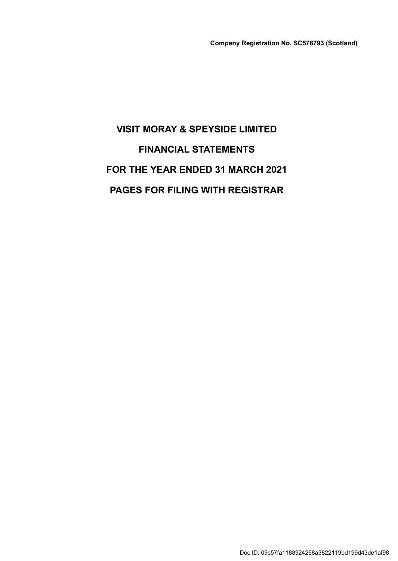# VISIT MORAY & SPEYSIDE LIMITED FINANCIAL STATEMENTS FOR THE YEAR ENDED 31 MARCH 2021 PAGES FOR FILING WITH REGISTRAR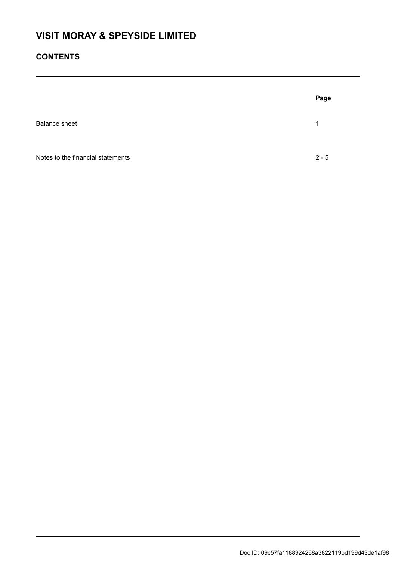# **CONTENTS**

|                                   | Page    |
|-----------------------------------|---------|
| <b>Balance sheet</b>              | 1       |
| Notes to the financial statements | $2 - 5$ |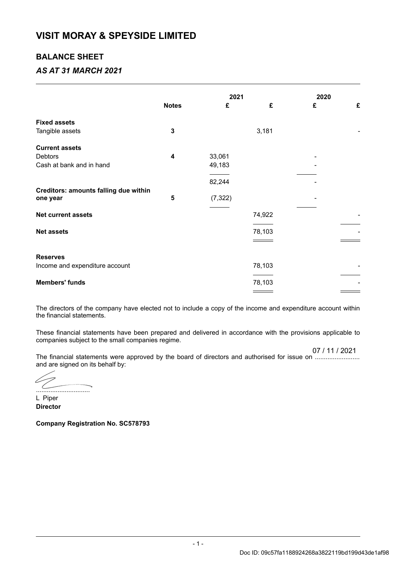# VISIT MORAY & SPEYSIDE LIMITED

# BALANCE SHEET

# AS AT 31 MARCH 2021

|                                       |              | 2021     |        | 2020 |   |
|---------------------------------------|--------------|----------|--------|------|---|
|                                       | <b>Notes</b> | £        | £      | £    | £ |
| <b>Fixed assets</b>                   |              |          |        |      |   |
| Tangible assets                       | $\mathbf{3}$ |          | 3,181  |      |   |
| <b>Current assets</b>                 |              |          |        |      |   |
| Debtors                               | 4            | 33,061   |        |      |   |
| Cash at bank and in hand              |              | 49,183   |        |      |   |
|                                       |              | 82,244   |        |      |   |
| Creditors: amounts falling due within |              |          |        |      |   |
| one year                              | 5            | (7, 322) |        |      |   |
| Net current assets                    |              |          | 74,922 |      |   |
|                                       |              |          |        |      |   |
| <b>Net assets</b>                     |              |          | 78,103 |      |   |
|                                       |              |          |        |      |   |
| <b>Reserves</b>                       |              |          |        |      |   |
| Income and expenditure account        |              |          | 78,103 |      |   |
| <b>Members' funds</b>                 |              |          | 78,103 |      |   |
|                                       |              |          |        |      |   |

The directors of the company have elected not to include a copy of the income and expenditure account within the financial statements.

These financial statements have been prepared and delivered in accordance with the provisions applicable to companies subject to the small companies regime.

07 / 11 / 2021

The financial statements were approved by the board of directors and authorised for issue on ......................... and are signed on its behalf by:

.<br>Antonio de la contenenta del California del menos proposto ..............................

L Piper **Director** 

Company Registration No. SC578793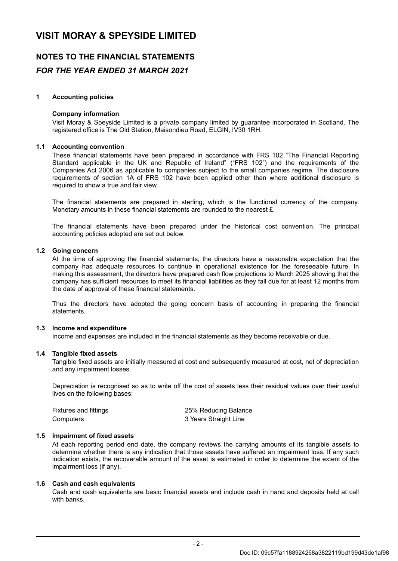# NOTES TO THE FINANCIAL STATEMENTS FOR THE YEAR ENDED 31 MARCH 2021

# 1 Accounting policies

### Company information

Visit Moray & Speyside Limited is a private company limited by guarantee incorporated in Scotland. The registered office is The Old Station, Maisondieu Road, ELGIN, IV30 1RH.

#### 1.1 Accounting convention

These financial statements have been prepared in accordance with FRS 102 "The Financial Reporting Standard applicable in the UK and Republic of Ireland" ("FRS 102") and the requirements of the Companies Act 2006 as applicable to companies subject to the small companies regime. The disclosure requirements of section 1A of FRS 102 have been applied other than where additional disclosure is required to show a true and fair view.

The financial statements are prepared in sterling, which is the functional currency of the company. Monetary amounts in these financial statements are rounded to the nearest £.

The financial statements have been prepared under the historical cost convention. The principal accounting policies adopted are set out below.

### 1.2 Going concern

At the time of approving the financial statements, the directors have a reasonable expectation that the company has adequate resources to continue in operational existence for the foreseeable future. In making this assessment, the directors have prepared cash flow projections to March 2025 showing that the company has sufficient resources to meet its financial liabilities as they fall due for at least 12 months from the date of approval of these financial statements.

Thus the directors have adopted the going concern basis of accounting in preparing the financial statements.

### 1.3 Income and expenditure

Income and expenses are included in the financial statements as they become receivable or due.

### 1.4 Tangible fixed assets

Tangible fixed assets are initially measured at cost and subsequently measured at cost, net of depreciation and any impairment losses.

Depreciation is recognised so as to write off the cost of assets less their residual values over their useful lives on the following bases:

| <b>Fixtures and fittings</b> | 25% Reducing Balance  |
|------------------------------|-----------------------|
| Computers                    | 3 Years Straight Line |

### 1.5 Impairment of fixed assets

At each reporting period end date, the company reviews the carrying amounts of its tangible assets to determine whether there is any indication that those assets have suffered an impairment loss. If any such indication exists, the recoverable amount of the asset is estimated in order to determine the extent of the impairment loss (if any).

### 1.6 Cash and cash equivalents

Cash and cash equivalents are basic financial assets and include cash in hand and deposits held at call with banks.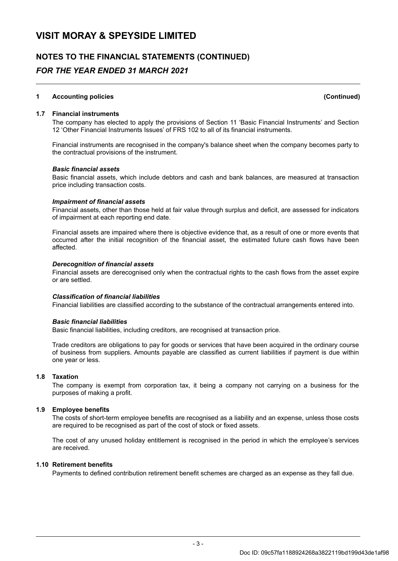# NOTES TO THE FINANCIAL STATEMENTS (CONTINUED) FOR THE YEAR ENDED 31 MARCH 2021

# 1 Accounting policies (Continued)

# 1.7 Financial instruments

The company has elected to apply the provisions of Section 11 'Basic Financial Instruments' and Section 12 'Other Financial Instruments Issues' of FRS 102 to all of its financial instruments.

Financial instruments are recognised in the company's balance sheet when the company becomes party to the contractual provisions of the instrument.

#### Basic financial assets

Basic financial assets, which include debtors and cash and bank balances, are measured at transaction price including transaction costs.

#### Impairment of financial assets

Financial assets, other than those held at fair value through surplus and deficit , are assessed for indicators of impairment at each reporting end date.

Financial assets are impaired where there is objective evidence that, as a result of one or more events that occurred after the initial recognition of the financial asset, the estimated future cash flows have been affected.

#### Derecognition of financial assets

Financial assets are derecognised only when the contractual rights to the cash flows from the asset expire or are settled .

# Classification of financial liabilities

Financial liabilities are classified according to the substance of the contractual arrangements entered into.

#### Basic financial liabilities

Basic financial liabilities, including creditors, are recognised at transaction price .

Trade creditors are obligations to pay for goods or services that have been acquired in the ordinary course of business from suppliers. Amounts payable are classified as current liabilities if payment is due within one year or less.

# 1.8 Taxation

The company is exempt from corporation tax, it being a company not carrying on a business for the purposes of making a profit.

### 1.9 Employee benefits

The costs of short-term employee benefits are recognised as a liability and an expense, unless those costs are required to be recognised as part of the cost of stock or fixed assets.

The cost of any unused holiday entitlement is recognised in the period in which the employee's services are received.

# 1.10 Retirement benefits

Payments to defined contribution retirement benefit schemes are charged as an expense as they fall due.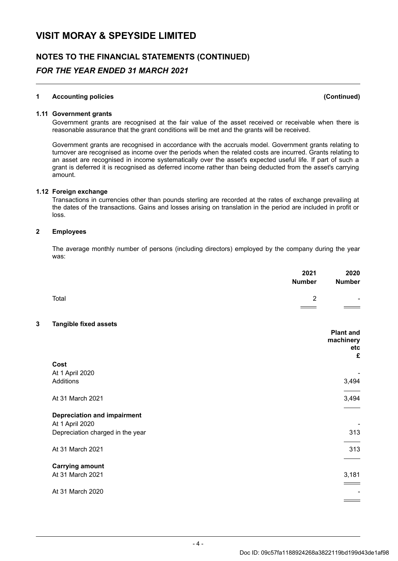# NOTES TO THE FINANCIAL STATEMENTS (CONTINUED) FOR THE YEAR ENDED 31 MARCH 2021

# 1 Accounting policies (Continued)

#### 1.11 Government grants

Government grants are recognised at the fair value of the asset received or receivable when there is reasonable assurance that the grant conditions will be met and the grants will be received.

Government grants are recognised in accordance with the accruals model. Government grants relating to turnover are recognised as income over the periods when the related costs are incurred . Grants relating to an asset are recognised in income systematically over the asset's expected useful life. If part of such a grant is deferred it is recognised as deferred income rather than being deducted from the asset's carrying amount.

### 1.12 Foreign exchange

Transactions in currencies other than pounds sterling are recorded at the rates of exchange prevailing at the dates of the transactions. Gains and losses arising on translation in the period are included in profit or loss.

#### 2 Employees

The average monthly number of persons (including directors) employed by the company during the year was:

|   |                                    | 2021<br><b>Number</b> | 2020<br><b>Number</b>                     |
|---|------------------------------------|-----------------------|-------------------------------------------|
|   | Total                              | $\overline{2}$        |                                           |
|   |                                    |                       |                                           |
| 3 | <b>Tangible fixed assets</b>       |                       |                                           |
|   |                                    |                       | <b>Plant and</b><br>machinery<br>etc<br>£ |
|   | Cost                               |                       |                                           |
|   | At 1 April 2020                    |                       |                                           |
|   | <b>Additions</b>                   |                       | 3,494                                     |
|   | At 31 March 2021                   |                       | 3,494                                     |
|   | <b>Depreciation and impairment</b> |                       |                                           |
|   | At 1 April 2020                    |                       |                                           |
|   | Depreciation charged in the year   |                       | 313                                       |
|   | At 31 March 2021                   |                       | 313                                       |
|   | <b>Carrying amount</b>             |                       |                                           |
|   | At 31 March 2021                   |                       | 3,181                                     |
|   | At 31 March 2020                   |                       |                                           |
|   |                                    |                       |                                           |